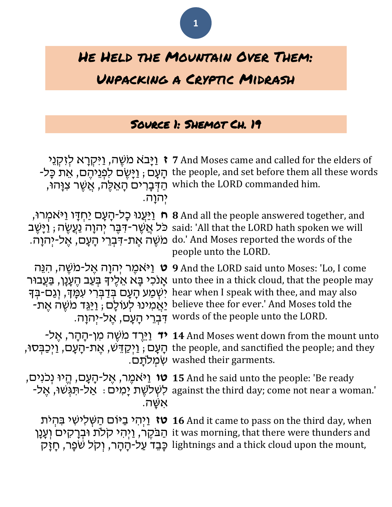

# He Held the Mountain Over Them:

## Unpacking a Cryptic Midrash

## Source 1: Shemot Ch. 19

| יִהוַה. | <b>וַיָּבא משֶׁה, וַיּקְרָא לִזִקְנֵי 7</b> And Moses came and called for the elders of<br>רָעָם; וַיָּשֵׂם לְפְנֵיהֵם, אֵת כָּל- the people, and set before them all these words<br>ּהַדְּבָרִים הָאֵלֶה, אֲשֶׁר צִוָּהוּ which the LORD commanded him.                                                                                                                                                                                   |
|---------|--------------------------------------------------------------------------------------------------------------------------------------------------------------------------------------------------------------------------------------------------------------------------------------------------------------------------------------------------------------------------------------------------------------------------------------------|
|         | יִ יַּעֲנוּ כָל-הָעָם יַחִדָּו וַיּאמִרוּ, 8 And all the people answered together, and<br>נִיּשֶׁב said: 'All that the LORD hath spoken we will<br>do.' And Moses reported the words of the מֹשֶׁה אֱת-דִּבְרֵי הָעָם, אֱל-יְהוָה.<br>people unto the LORD.                                                                                                                                                                                |
|         | יאמֵר יִהוָה אֵל-מֹשֶׁה, הְנֵּה 9 And the LORD said unto Moses: 'Lo, I come<br>אָנכי בָּא אֵלֵיךָ בִּעֲב הֵעֲנָן, בַּעֲבוּר unto thee in a thick cloud, that the people may<br>יִשְׁמַע הָעָם בְּדַבְּרִי עִמְּךָ, וְגַם-בְּךָ hear when I speak with thee, and may also<br>-אַמִינוּ לְעוֹלָם; <u>וַי</u> ּגֵּד מֹשֶׁה אֶת believe thee for ever.' And Moses told the<br>.words of the people unto the LORD. דְּבְרֵי הָעָם, אֱל-יִהְוָה. |
|         | יד מַשֶּׁה מַן-הָהָר, אֵל- 14 And Moses went down from the mount unto<br>ָרְאָת-קַעָם, זַיְכַבְּסוּ, the people, and sanctified the people; and they<br>שמלתם. washed their garments.                                                                                                                                                                                                                                                      |
| אשה.    | ָהֵיוּ נִכְנִים, חֵיוּ נְכִנִים, אֱל-הָעָם, חֵיוּ נִכְנִים, (חֵינוּ נִכְנִים 15 And he said unto the people: 'Be ready<br>-אל-תִּגְשׁוּ, אֲל-Rַמִּים against the third day; come not near a woman.'                                                                                                                                                                                                                                        |
|         | ויהי ביום השלישי בהית 16 And it came to pass on the third day, when<br>it was morning, that there were thunders and הַבּקֶר, וַיְהִי קלֹת וּבְרָקים וְעָנָן<br>.lightnings and a thick cloud upon the mount, כָּבֵד עַל-הָהָר, וִקְל שִׁפָּר, חָזָק                                                                                                                                                                                        |
|         |                                                                                                                                                                                                                                                                                                                                                                                                                                            |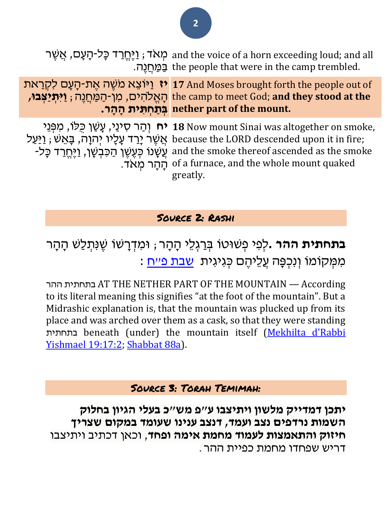מְאָד; וַיֶּחֱרַד כָּל-הָעָם, אֲשֶׁר and the voice of a horn exceeding loud; and all בַּמַּחֲנֶה. the people that were in the camp trembled.

**יז** וַיּוֹצֵא מֹשֶׁה אֶת-הָעָם לִקְרַאת i7 And Moses brought forth the people out of הָּ אֱ ֹלהִּ ים, מִּ ן-הַ מַ חֲ נֶׁה; **ַו ִּי ְתַי ְצבּו,** the camp to meet God; **and they stood at the בְ תַ חְ תִּ ית הָ הָ ר. nether part of the mount.**

יח וְהַר סִינַי, עָשַׁן כִּלֹוּ, מִפְּנֵי **18** Now mount Sinai was altogether on smoke, אֲשֶׁר יָרַד עָלָיו יְהוָה, בָּאֵשׁ; hecause the LORD descended upon it in fire; -לָעָּעָן הַכִּבְשָׁן, וַיֶּחֱרַד כָּל- and the smoke thereof ascended as the smoke הָּ הָּ ר מְ אֹד. of a furnace, and the whole mount quaked greatly.

#### Source 2: Rashi

**בתחתית ההר .**לְפִי פְשׁוּטו בְּרַגְלֵי הָהָר; וּמִדְרָשׁוֹ שֵׁנִּתְלַשׁ הָהָר מִמְקוֹמוֹ וְנִכְפָּה עֲלֵיהֵם כְּגִיגִית <u>שבת פ״ח</u> :

ההר בתחתית AT THE NETHER PART OF THE MOUNTAIN — According to its literal meaning this signifies "at the foot of the mountain". But a Midrashic explanation is, that the mountain was plucked up from its place and was arched over them as a cask, so that they were standing בתחתית beneath (under) the mountain itself [\(Mekhilta d'Rabbi](/Mekhilta_d)  [Yishmael 19:17:2;](/Mekhilta_d) [Shabbat 88a\)](/Shabbat.88a).

#### Source 3: Torah Temimah:

**יתכן דמדייק מלשון ויתיצבו ע"פ מש"כ בעלי הגיון בחלוק השמות נרדפים נצב ועמד, דנצב ענינו שעומד במקום שצריך חיזוק והתאמצות לעמוד מחמת אימה ופחד**, וכאן דכתיב ויתיצבו דריש שפחדו מחמת כפיית ההר .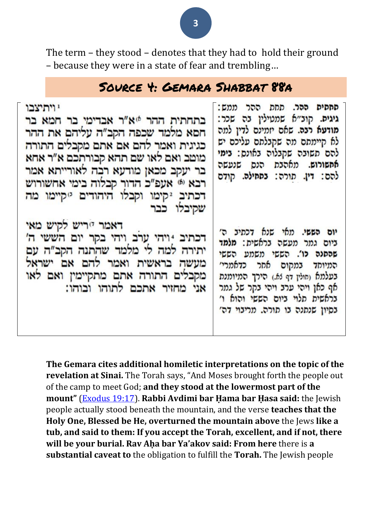The term – they stood – denotes that they had to hold their ground – because they were in a state of fear and trembling…

## Source 4: Gemara Shabbat 88a

| י ויתיצבו<br>בתחתית ההר 40% אבדימי בר חמא בר<br>חסא מלמד שכפה הקב″ה עליהם את ההר<br>כגיגית ואמר להם אם אתם מקבלים התורה<br>מוטב ואם לאו שם תהא קבורתכם א"ר אחא<br>בר יעקב מכאן מודעא רבה לאורייתא אמר<br>רבא ® אעפ״כ הדור קבלוה בימי אחשורוש<br>דכתיב 2קימו וקבלו היהודים 2קיימו מה<br>שקיבלו כבר | סחסים ההר. תחת ההר ממש:<br>גיגים. קוצ״א שמטילין בה שכר:<br>מודעא רבה. שאם יזמינם לדין למה<br>לא קיימתם מה שקבלתם עליכם יש<br>להם תשובה שקבלוה באונס: בימי<br>אחשורוש. מאהבת הנס שנעשה<br>להם: דין. תורה: בתחילה. קודם                                         |
|---------------------------------------------------------------------------------------------------------------------------------------------------------------------------------------------------------------------------------------------------------------------------------------------------|---------------------------------------------------------------------------------------------------------------------------------------------------------------------------------------------------------------------------------------------------------------|
| דאמר יוריש לקיש מאי<br>דכתיב 1ויהי ערב ויהי בקר יום הששי ה'<br>יתירה למה לי מלמד שהתנה הקב"ה עם<br>מעשה בראשית ואמר להם אם ישראל<br>מקבלים התורה אתם מתקיימין ואם לאו<br>אני מחזיר אתכם לתוהו ובוהו:                                                                                              | יום הששי. מאי שנא דכתיב ה׳<br>ביום גמר מעשה בראשית: מלמד<br>שהסנה כו'. הששי משמע הששי<br>המיוחד במקום אחר כדאמרי׳<br>בעלמא (חולין דף 65.) הירך המיומנת<br>אף כאן ויהי ערב ויהי בקר של גמר<br>בראשית תלוי ביום הששי והוא ו'<br>בסיון שנתנה בו תורה. מריבוי דה׳ |

**The Gemara cites additional homiletic interpretations on the topic of the revelation at Sinai.** The Torah says, "And Moses brought forth the people out of the camp to meet God; **and they stood at the lowermost part of the mount"** [\(Exodus 19:17\)](/Exodus.19.17). **Rabbi Avdimi bar Ḥama bar Ḥasa said:** the Jewish people actually stood beneath the mountain, and the verse **teaches that the Holy One, Blessed be He, overturned the mountain above** the Jews **like a tub, and said to them: If you accept the Torah, excellent, and if not, there will be your burial. Rav Aḥa bar Ya'akov said: From here** there is **a substantial caveat to** the obligation to fulfill the **Torah.** The Jewish people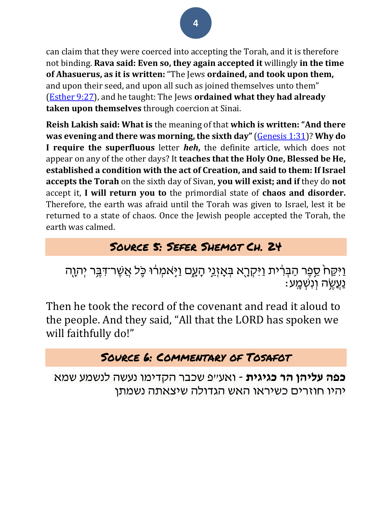can claim that they were coerced into accepting the Torah, and it is therefore not binding. **Rava said: Even so, they again accepted it** willingly **in the time of Ahasuerus, as it is written:** "The Jews **ordained, and took upon them,** and upon their seed, and upon all such as joined themselves unto them" [\(Esther 9:27\)](/Esther.9.27), and he taught: The Jews **ordained what they had already taken upon themselves** through coercion at Sinai.

**Reish Lakish said: What is** the meaning of that **which is written: "And there was evening and there was morning, the sixth day"** [\(Genesis 1:31\)](/Genesis.1.31)? **Why do I require the superfluous** letter *heh***,** the definite article, which does not appear on any of the other days? It **teaches that the Holy One, Blessed be He, established a condition with the act of Creation, and said to them: If Israel accepts the Torah** on the sixth day of Sivan, **you will exist; and if** they do **not** accept it, **I will return you to** the primordial state of **chaos and disorder.** Therefore, the earth was afraid until the Torah was given to Israel, lest it be returned to a state of chaos. Once the Jewish people accepted the Torah, the earth was calmed.

## Source 5: Sefer Shemot Ch. 24

ַוַּיִּקַח<sup>ָ</sup> סֵפֶּר הַבְּרִית וַיִּקְרֶא בְּאָזְגֵי הָעֶם וַיָּאמְרוּ כָּל אֲשֶׁר־דִּבֶּר יְהָוֶה ַ נַעֲשֶׂה וְנִשְׁמֵע:

Then he took the record of the covenant and read it aloud to the people. And they said, "All that the LORD has spoken we will faithfully do!"

## Source 6: Commentary of Tosafot

**כפה עליהן הר כגיגית** - ואע"פ שכבר הקדימו נעשה לנשמע שמא יהיו חוזרים כשיראו האש הגדולה שיצאתה נשמתן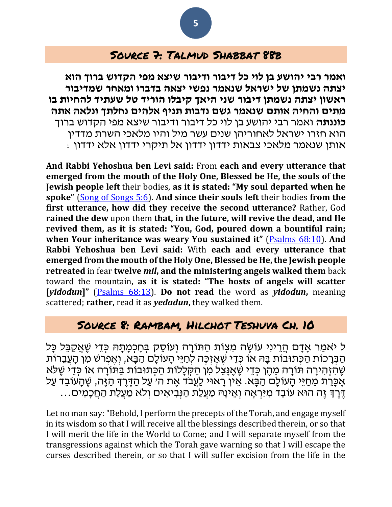### Source 7: Talmud Shabbat 88b

**ואמר רבי יהושע בן לוי כל דיבור ודיבור שיצא מפי הקדוש ברוך הוא יצתה נשמתן של ישראל שנאמר נפשי יצאה בדברו ומאחר שמדיבור ראשון יצתה נשמתן דיבור שני היאך קיבלו הוריד טל שעתיד להחיות בו מתים והחיה אותם שנאמר גשם נדבות תניף אלהים נחלתך ונלאה אתה כוננתה** ואמר רבי יהושע בן לוי כל דיבור ודיבור שיצא מפי הקדוש ברוך הוא חזרו ישראל לאחוריהן שנים עשר מיל והיו מלאכי השרת מדדין אותן שנאמר מלאכי צבאות ידדון ידדון אל תיקרי ידדון אלא ידדון :

**And Rabbi Yehoshua ben Levi said:** From **each and every utterance that emerged from the mouth of the Holy One, Blessed be He, the souls of the Jewish people left** their bodies, **as it is stated: "My soul departed when he spoke"** [\(Song of Songs 5:6\)](/Song_of_Songs.5.6). **And since their souls left** their bodies **from the first utterance, how did they receive the second utterance?** Rather, God **rained the dew** upon them **that, in the future, will revive the dead, and He revived them, as it is stated: "You, God, poured down a bountiful rain; when Your inheritance was weary You sustained it"** [\(Psalms 68:10\)](/Psalms.68.10). **And Rabbi Yehoshua ben Levi said:** With **each and every utterance that emerged from the mouth of the Holy One, Blessed be He, the Jewish people retreated** in fear **twelve** *mil***, and the ministering angels walked them** back toward the mountain, **as it is stated: "The hosts of angels will scatter [***yidodun***]"** [\(Psalms 68:13\)](/Psalms.68.13). **Do not read** the word as *yidodun***,** meaning scattered; **rather,** read it as *yedadun***,** they walked them.

### Source 8: Rambam, Hilchot Teshuva Ch. 10

ל יֹאמַר אַדָּם הֲרֵינִי עֹוֹשֶׂה מִצְוֹת הַתּוֹרַה וְעוֹסֶק בְּחַכְמַתָּהּ כְּדֵי שֶׁאֲקַבֵּל כַּל הַבְּרָכות הַכְּתוּבוֹת בָּהּ אוֹ כְּדֵי שֶׁאֶזְכֶּה לְחַיֵּי הָעוֹלָם הַבָּא, וְאֶפְרֹשׁ מִן הָעֲבֵרוֹת שֶׁהַזְהִירָה תּורָה מֵהֶן כִּדֵי שֶׁאֱנַּצֵל מִן הַקְּלָלות הַכְּתוּבוֹת בַּתּוֹרָה או כְּדֵי שֶׁלֹא אֶכֶּרֵת מֵחַיֵּי הָעוֹלָם הַבָּא. אֵין רָאוּי לַעֲבֹד אֶת ה׳ עַל הַדֶּרֶךְ הַזֶּה, שֶׁהָעוֹבֵד עַל ֶּדֶּרְךָּ זֶה הוּא עוֹבֵד מִיִּּרְאָה וְאֵינָהּ מַעֲלַת הַנִּבִיאִים וְלֹא מַעֲלַת הַחֲכָמִים...

Let no man say: "Behold, I perform the precepts of the Torah, and engage myself in its wisdom so that I will receive all the blessings described therein, or so that I will merit the life in the World to Come; and I will separate myself from the transgressions against which the Torah gave warning so that I will escape the curses described therein, or so that I will suffer excision from the life in the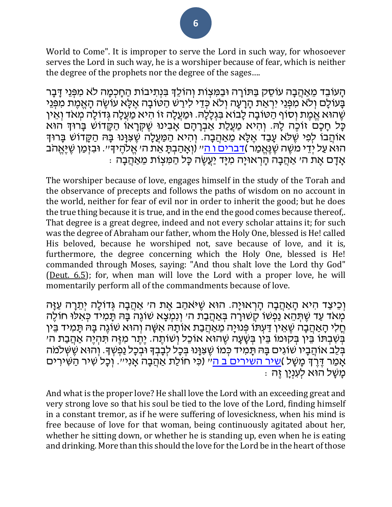World to Come". It is improper to serve the Lord in such way, for whosoever serves the Lord in such way, he is a worshiper because of fear, which is neither the degree of the prophets nor the degree of the sages….

הַעֹובֵד מֵאַהֲבָה עוֹסֶק בַּתּוֹרַה וּבַמִּצְוֹת וְהוֹלֵךְ בִּנְתִיבוֹת הַחַכְמַה לֹא מִפְּנֵי דַּבַּר בְּעוֹלָם וְלֹא מִפְּנֵי יִרְאַת הָרָעָה וְלֹא כְּדֵי לִירַשׁ הַטֹובָה אֶלָּא עֹוֹשֵׂה הָאֵמֵת מִפְּנֵי שֶׁהוּא אֱמֶת וְסֹוף הַטּובָה לָבוא בִּגְלָלָהּ. וּמַעֲלָה זו הִיא מַעֲלָה גְדולָה מְאֹד וְאֵין כָּל חָכָם זוֹכֶה לָּהּ. וְהִיא מַעֲלַת אַבְרָהָם אָבִינוּ שֶׁקְּרָאוֹ הַקָּדוֹשׁ בָּרוּךְ הוּא אוֹהֲבֹו לְפִי שֶׁלֹּא עָבַד אֶלָּא מֵאַהֲבָה. וְהִיא הַמַּעֲלָה שֶׁצִּוָּנוּ בָּהּ הַקָּדוֹשׁ בָּרוּדִּ הוּא עַל יְדֵי מִשֶּׁה שֶׁנֶּאֱמַר )<u>[דברים ו ה](/Deuteronomy.6.5)</u>ײ (וְאָהַבְתָּ אֵת ה׳ אֱלֹהֶידִי׳. וּבִזְמַן שֶׁיֶּאֱהֹב ּ אָדָם אֶת ה׳ אַקֲבָה הָרְאוּיָה מִיָּד יַעֲשֶׂה כָּל הַמִּצְוֹת מֵאַהֲבָה

The worshiper because of love, engages himself in the study of the Torah and the observance of precepts and follows the paths of wisdom on no account in the world, neither for fear of evil nor in order to inherit the good; but he does the true thing because it is true, and in the end the good comes because thereof,. That degree is a great degree, indeed and not every scholar attains it; for such was the degree of Abraham our father, whom the Holy One, blessed is He! called His beloved, because he worshiped not, save because of love, and it is, furthermore, the degree concerning which the Holy One, blessed is He! commanded through Moses, saying: "And thou shalt love the Lord thy God" [\(Deut. 6.5\)](/Deuteronomy.6.5); for, when man will love the Lord with a proper love, he will momentarily perform all of the commandments because of love.

וְכֵיצַד הִיא הָאַהֲבָה הָרְאוּיַה. הוּא שֵׁיּאֹהַב אֶת ה׳ אַהֲבָה גְּדוֹלָה יְתֵרָה עַזַּה מְאֹד עַד שֶׁתְּהֵא נַפְשׁוֹ קִשׁוּרָה בְּאַהֲבַת ה׳ וְנִמְצָא שֹוֹגֶה בָּהּ תָּמִיד כְּאִלּוּ חוֹלֶה ּחֲלִי הָאַהֲבָה שֶׁאֵין דַּעְתּוֹ פְּנוּיָה מֵאַהֲבַת אוֹתָּהּ אִשָּׁה וְהוּא שֹוֹגֶה בַּהּ תַּמִיד בֵּין בְּשָׁבָתּוֹ בֵּין בְּקוּמוֹ בֵּין בִּשָּׁעָה שֵׁהוּא אוֹכֵל וְשׁוֹתֵה. יֶתֵר מִיָּה תִּהְיֶה אַהֲבַת ה׳ בְּבִ אוּהֲבָיו שֹוגִים בָּה תָּמִיד כְּמוֹ שֶׁצִּוָּנוּ בְּכָל לְבָבְדְ וּבְכָל נַפְשְׁךָ. וְהוּא שֶׁשְׁלמֹה אָמַר דֶּרֶדְּ מָשָׁל )<u>[שיר השירים ב ה](/Song_of_Songs.2.5)</u>ײַ (כִּי חוֹלַת אַהֲבָה אָנִיײ. וְכָל שִיר הַשִּׁירִים ּ מְשָׁל הוּא לְעִנְיָן זֶה

And what is the proper love? He shall love the Lord with an exceeding great and very strong love so that his soul be tied to the love of the Lord, finding himself in a constant tremor, as if he were suffering of lovesickness, when his mind is free because of love for that woman, being continuously agitated about her, whether he sitting down, or whether he is standing up, even when he is eating and drinking. More than this should the love for the Lord be in the heart of those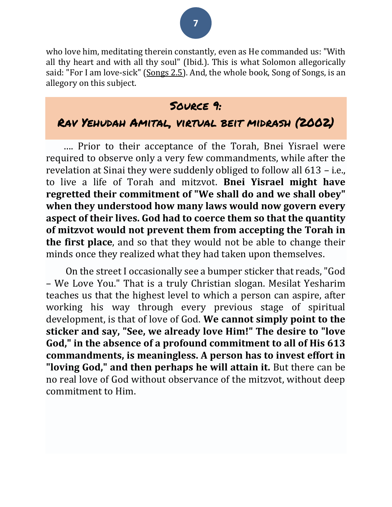# **7**

who love him, meditating therein constantly, even as He commanded us: "With all thy heart and with all thy soul" (Ibid.). This is what Solomon allegorically said: "For I am love-sick" [\(Songs 2.5\)](/Song_of_Songs.2.5). And, the whole book, Song of Songs, is an allegory on this subject.

### Source 9:

## Rav Yehudah Amital, virtual beit midrash (2002)

…. Prior to their acceptance of the Torah, Bnei Yisrael were required to observe only a very few commandments, while after the revelation at Sinai they were suddenly obliged to follow all 613 – i.e., to live a life of Torah and mitzvot. **Bnei Yisrael might have regretted their commitment of "We shall do and we shall obey" when they understood how many laws would now govern every aspect of their lives. God had to coerce them so that the quantity of mitzvot would not prevent them from accepting the Torah in the first place**, and so that they would not be able to change their minds once they realized what they had taken upon themselves.

On the street I occasionally see a bumper sticker that reads, "God – We Love You." That is a truly Christian slogan. Mesilat Yesharim teaches us that the highest level to which a person can aspire, after working his way through every previous stage of spiritual development, is that of love of God. **We cannot simply point to the sticker and say, "See, we already love Him!" The desire to "love God," in the absence of a profound commitment to all of His 613 commandments, is meaningless. A person has to invest effort in "loving God," and then perhaps he will attain it.** But there can be no real love of God without observance of the mitzvot, without deep commitment to Him.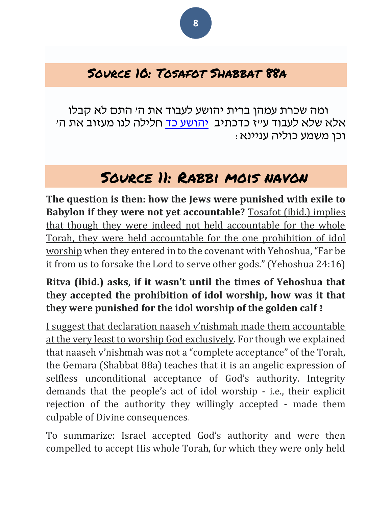## Source 10: Tosafot Shabbat 88a

ומה שכרת עמהן ברית יהושע לעבוד את ה' התם לא קבלו אלא שלא לעבוד ע״ז כדכתיב [יהושע כד](/Joshua.24) חלילה לנו מעזוב את ה׳ וכן משמע כוליה עניינא:

# Source 11: Rabbi mois navon

**The question is then: how the Jews were punished with exile to Babylon if they were not yet accountable?** Tosafot (ibid.) implies that though they were indeed not held accountable for the whole Torah, they were held accountable for the one prohibition of idol worship when they entered in to the covenant with Yehoshua, "Far be it from us to forsake the Lord to serve other gods." (Yehoshua 24:16)

### **Ritva (ibid.) asks, if it wasn't until the times of Yehoshua that they accepted the prohibition of idol worship, how was it that they were punished for the idol worship of the golden calf ?**

I suggest that declaration naaseh v'nishmah made them accountable at the very least to worship God exclusively. For though we explained that naaseh v'nishmah was not a "complete acceptance" of the Torah, the Gemara (Shabbat 88a) teaches that it is an angelic expression of selfless unconditional acceptance of God's authority. Integrity demands that the people's act of idol worship - i.e., their explicit rejection of the authority they willingly accepted - made them culpable of Divine consequences.

To summarize: Israel accepted God's authority and were then compelled to accept His whole Torah, for which they were only held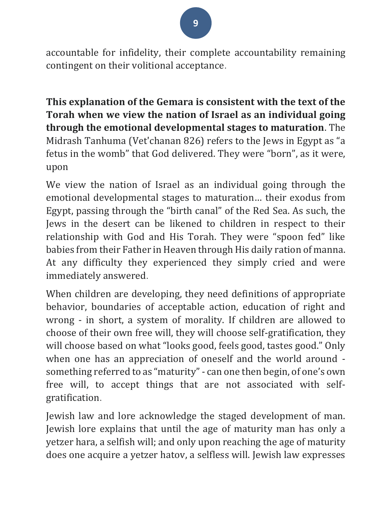**9**

accountable for infidelity, their complete accountability remaining contingent on their volitional acceptance.

**This explanation of the Gemara is consistent with the text of the Torah when we view the nation of Israel as an individual going through the emotional developmental stages to maturation**. The Midrash Tanhuma (Vet'chanan 826) refers to the Jews in Egypt as "a fetus in the womb" that God delivered. They were "born", as it were, upon

We view the nation of Israel as an individual going through the emotional developmental stages to maturation… their exodus from Egypt, passing through the "birth canal" of the Red Sea. As such, the Jews in the desert can be likened to children in respect to their relationship with God and His Torah. They were "spoon fed" like babies from their Father in Heaven through His daily ration of manna. At any difficulty they experienced they simply cried and were immediately answered.

When children are developing, they need definitions of appropriate behavior, boundaries of acceptable action, education of right and wrong - in short, a system of morality. If children are allowed to choose of their own free will, they will choose self-gratification, they will choose based on what "looks good, feels good, tastes good." Only when one has an appreciation of oneself and the world around something referred to as "maturity" - can one then begin, of one's own free will, to accept things that are not associated with selfgratification.

Jewish law and lore acknowledge the staged development of man. Jewish lore explains that until the age of maturity man has only a yetzer hara, a selfish will; and only upon reaching the age of maturity does one acquire a yetzer hatov, a selfless will. Jewish law expresses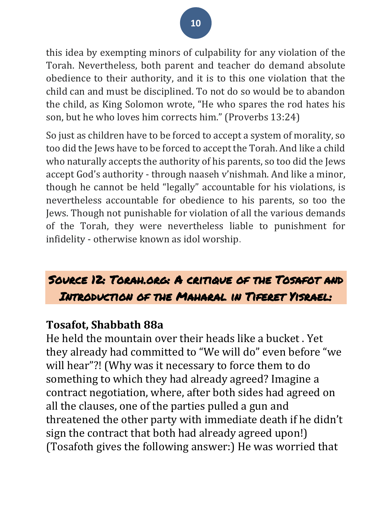this idea by exempting minors of culpability for any violation of the Torah. Nevertheless, both parent and teacher do demand absolute obedience to their authority, and it is to this one violation that the child can and must be disciplined. To not do so would be to abandon the child, as King Solomon wrote, "He who spares the rod hates his son, but he who loves him corrects him." (Proverbs 13:24)

So just as children have to be forced to accept a system of morality, so too did the Jews have to be forced to accept the Torah. And like a child who naturally accepts the authority of his parents, so too did the Jews accept God's authority - through naaseh v'nishmah. And like a minor, though he cannot be held "legally" accountable for his violations, is nevertheless accountable for obedience to his parents, so too the Jews. Though not punishable for violation of all the various demands of the Torah, they were nevertheless liable to punishment for infidelity - otherwise known as idol worship.

# Source 12: Torah.org: A critique of the Tosafot and Introduction of the Maharal in Tiferet Yisrael:

## **Tosafot, Shabbath 88a**

He held the mountain over their heads like a bucket . Yet they already had committed to "We will do" even before "we will hear"?! (Why was it necessary to force them to do something to which they had already agreed? Imagine a contract negotiation, where, after both sides had agreed on all the clauses, one of the parties pulled a gun and threatened the other party with immediate death if he didn't sign the contract that both had already agreed upon!) (Tosafoth gives the following answer:) He was worried that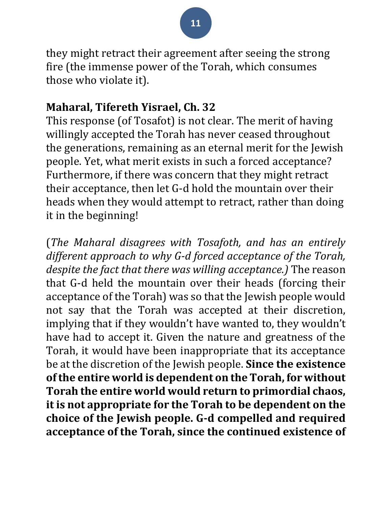they might retract their agreement after seeing the strong fire (the immense power of the Torah, which consumes those who violate it).

## **Maharal, Tifereth Yisrael, Ch. 32**

This response (of Tosafot) is not clear. The merit of having willingly accepted the Torah has never ceased throughout the generations, remaining as an eternal merit for the Jewish people. Yet, what merit exists in such a forced acceptance? Furthermore, if there was concern that they might retract their acceptance, then let G-d hold the mountain over their heads when they would attempt to retract, rather than doing it in the beginning!

(*The Maharal disagrees with Tosafoth, and has an entirely different approach to why G-d forced acceptance of the Torah, despite the fact that there was willing acceptance.)* The reason that G-d held the mountain over their heads (forcing their acceptance of the Torah) was so that the Jewish people would not say that the Torah was accepted at their discretion, implying that if they wouldn't have wanted to, they wouldn't have had to accept it. Given the nature and greatness of the Torah, it would have been inappropriate that its acceptance be at the discretion of the Jewish people. **Since the existence of the entire world is dependent on the Torah, for without Torah the entire world would return to primordial chaos, it is not appropriate for the Torah to be dependent on the choice of the Jewish people. G-d compelled and required acceptance of the Torah, since the continued existence of**